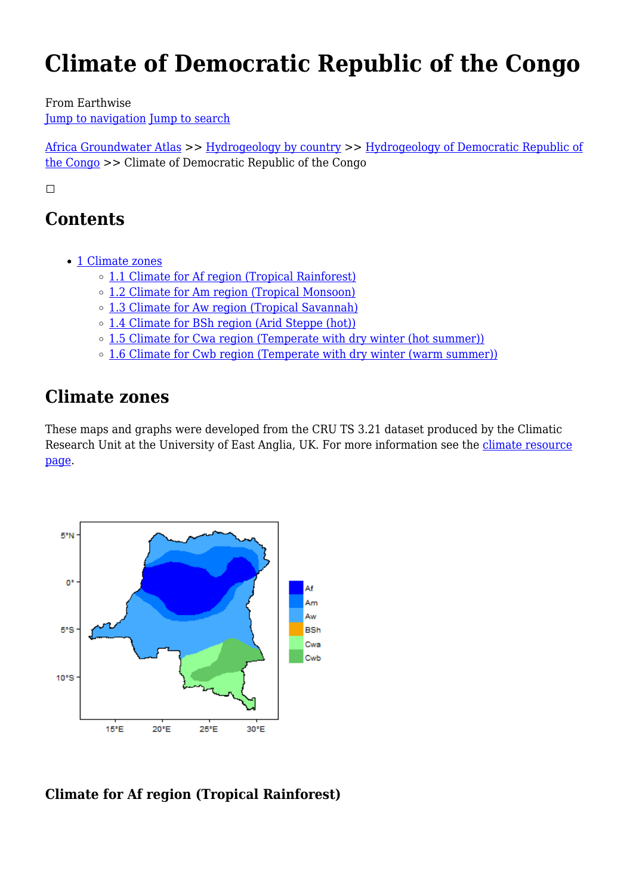# **Climate of Democratic Republic of the Congo**

From Earthwise

[Jump to navigation](#page--1-0) [Jump to search](#page--1-0)

[Africa Groundwater Atlas](http://earthwise.bgs.ac.uk/index.php/Africa_Groundwater_Atlas_Home) >> [Hydrogeology by country](http://earthwise.bgs.ac.uk/index.php/Hydrogeology_by_country) >> [Hydrogeology of Democratic Republic of](http://earthwise.bgs.ac.uk/index.php/Hydrogeology_of_Democratic_Republic_of_the_Congo) [the Congo](http://earthwise.bgs.ac.uk/index.php/Hydrogeology_of_Democratic_Republic_of_the_Congo) >> Climate of Democratic Republic of the Congo

 $\overline{\phantom{a}}$ 

# **Contents**

- [1](#page--1-0) [Climate zones](#page--1-0)
	- [1.1](#Climate_for_Af_region_.28Tropical_Rainforest.29) [Climate for Af region \(Tropical Rainforest\)](#Climate_for_Af_region_.28Tropical_Rainforest.29)
	- [1.2](#Climate_for_Am_region_.28Tropical_Monsoon.29) [Climate for Am region \(Tropical Monsoon\)](#Climate_for_Am_region_.28Tropical_Monsoon.29)
	- [1.3](#Climate_for_Aw_region_.28Tropical_Savannah.29) [Climate for Aw region \(Tropical Savannah\)](#Climate_for_Aw_region_.28Tropical_Savannah.29)
	- [1.4](#Climate_for_BSh_region_.28Arid_Steppe_.28hot.29.29) [Climate for BSh region \(Arid Steppe \(hot\)\)](#Climate_for_BSh_region_.28Arid_Steppe_.28hot.29.29)
	- $\circ$  [1.5](#Climate_for_Cwa_region_.28Temperate_with_dry_winter_.28hot_summer.29.29) [Climate for Cwa region \(Temperate with dry winter \(hot summer\)\)](#Climate_for_Cwa_region_.28Temperate_with_dry_winter_.28hot_summer.29.29)
	- o [1.6](#Climate_for_Cwb_region_.28Temperate_with_dry_winter_.28warm_summer.29.29) [Climate for Cwb region \(Temperate with dry winter \(warm summer\)\)](#Climate_for_Cwb_region_.28Temperate_with_dry_winter_.28warm_summer.29.29)

# **Climate zones**

These maps and graphs were developed from the CRU TS 3.21 dataset produced by the Climatic Research Unit at the University of East Anglia, UK. For more information see the [climate resource](http://earthwise.bgs.ac.uk/index.php/Climate) [page.](http://earthwise.bgs.ac.uk/index.php/Climate)



### **Climate for Af region (Tropical Rainforest)**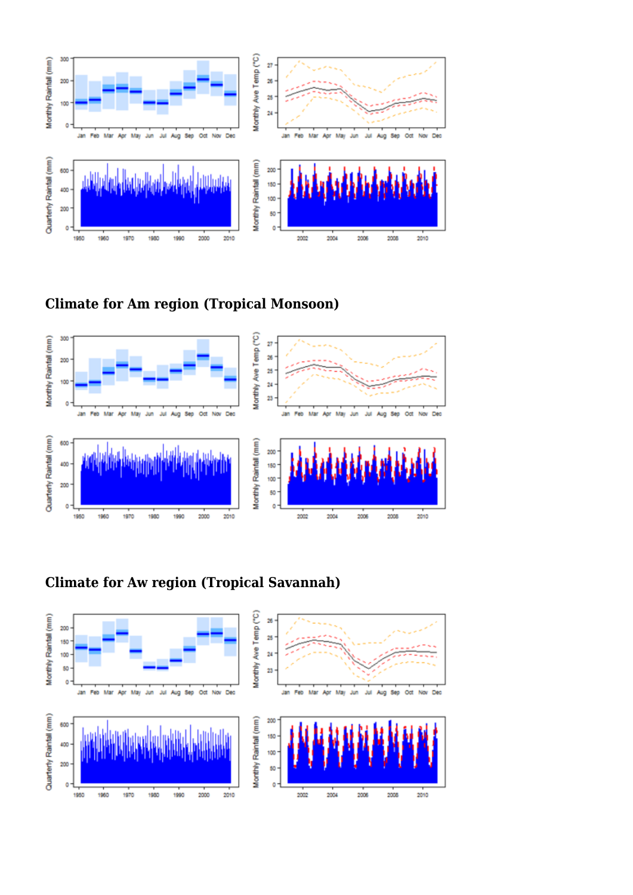





## **Climate for Aw region (Tropical Savannah)**

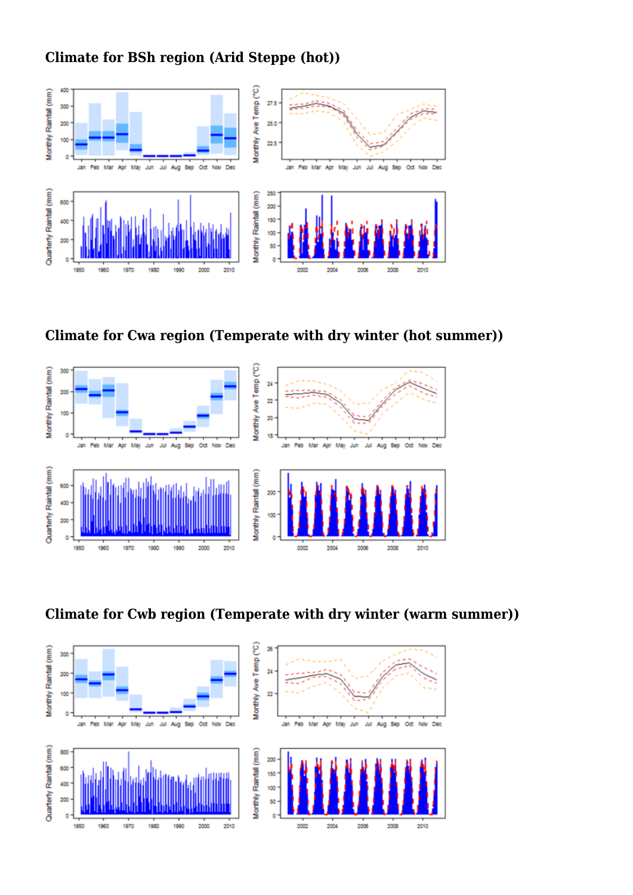#### **Climate for BSh region (Arid Steppe (hot))**









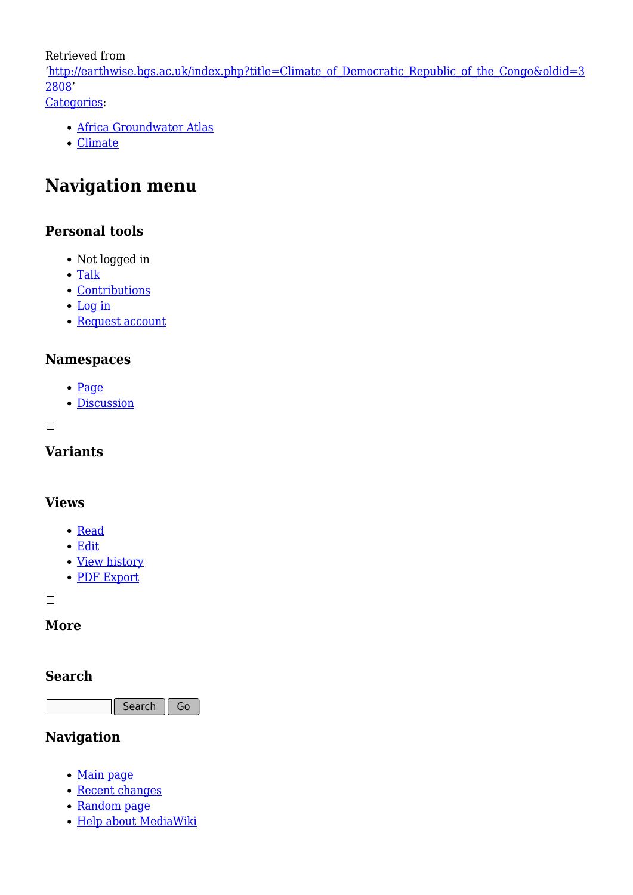Retrieved from

'[http://earthwise.bgs.ac.uk/index.php?title=Climate\\_of\\_Democratic\\_Republic\\_of\\_the\\_Congo&oldid=3](http://earthwise.bgs.ac.uk/index.php?title=Climate_of_Democratic_Republic_of_the_Congo&oldid=32808) [2808'](http://earthwise.bgs.ac.uk/index.php?title=Climate_of_Democratic_Republic_of_the_Congo&oldid=32808)

[Categories:](http://earthwise.bgs.ac.uk/index.php/Special:Categories)

- [Africa Groundwater Atlas](http://earthwise.bgs.ac.uk/index.php/Category:Africa_Groundwater_Atlas)
- [Climate](http://earthwise.bgs.ac.uk/index.php/Category:Climate)

# **Navigation menu**

#### **Personal tools**

- Not logged in
- [Talk](http://earthwise.bgs.ac.uk/index.php/Special:MyTalk)
- [Contributions](http://earthwise.bgs.ac.uk/index.php/Special:MyContributions)
- [Log in](http://earthwise.bgs.ac.uk/index.php?title=Special:UserLogin&returnto=Climate+of+Democratic+Republic+of+the+Congo&returntoquery=action%3Dmpdf)
- [Request account](http://earthwise.bgs.ac.uk/index.php/Special:RequestAccount)

#### **Namespaces**

- [Page](http://earthwise.bgs.ac.uk/index.php/Climate_of_Democratic_Republic_of_the_Congo)
- [Discussion](http://earthwise.bgs.ac.uk/index.php?title=Talk:Climate_of_Democratic_Republic_of_the_Congo&action=edit&redlink=1)

 $\Box$ 

#### **Variants**

#### **Views**

- [Read](http://earthwise.bgs.ac.uk/index.php/Climate_of_Democratic_Republic_of_the_Congo)
- [Edit](http://earthwise.bgs.ac.uk/index.php?title=Climate_of_Democratic_Republic_of_the_Congo&action=edit)
- [View history](http://earthwise.bgs.ac.uk/index.php?title=Climate_of_Democratic_Republic_of_the_Congo&action=history)
- [PDF Export](http://earthwise.bgs.ac.uk/index.php?title=Climate_of_Democratic_Republic_of_the_Congo&action=mpdf)

 $\overline{\phantom{a}}$ 

#### **More**

#### **Search**

Search  $\|$  Go

## **Navigation**

- [Main page](http://earthwise.bgs.ac.uk/index.php/Main_Page)
- [Recent changes](http://earthwise.bgs.ac.uk/index.php/Special:RecentChanges)
- [Random page](http://earthwise.bgs.ac.uk/index.php/Special:Random)
- [Help about MediaWiki](https://www.mediawiki.org/wiki/Special:MyLanguage/Help:Contents)